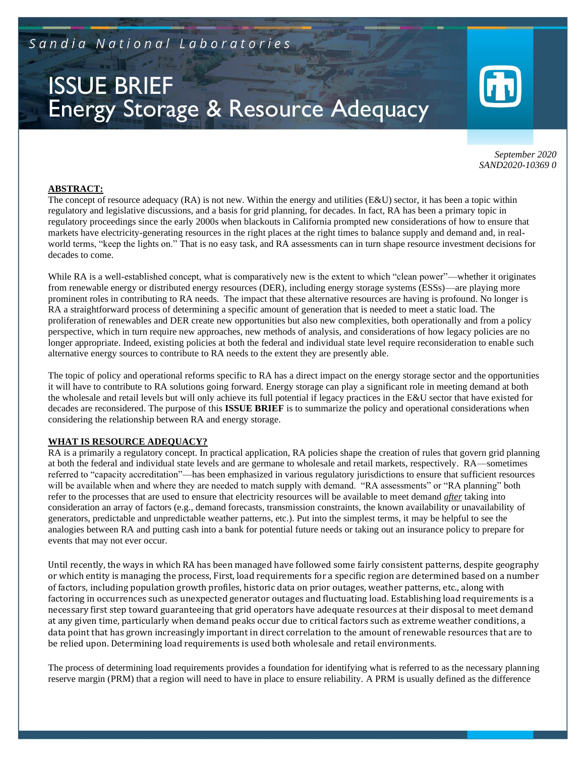# ISSUE BRIEF Energy Storage & Resource Adequacy

*September 2020*

*SAND2020-10369 0*

## **ABSTRACT:**

The concept of resource adequacy (RA) is not new. Within the energy and utilities (E&U) sector, it has been a topic within regulatory and legislative discussions, and a basis for grid planning, for decades. In fact, RA has been a primary topic in regulatory proceedings since the early 2000s when blackouts in California prompted new considerations of how to ensure that markets have electricity-generating resources in the right places at the right times to balance supply and demand and, in realworld terms, "keep the lights on." That is no easy task, and RA assessments can in turn shape resource investment decisions for decades to come.

While RA is a well-established concept, what is comparatively new is the extent to which "clean power"—whether it originates from renewable energy or distributed energy resources (DER), including energy storage systems (ESSs)—are playing more prominent roles in contributing to RA needs. The impact that these alternative resources are having is profound. No longer is RA a straightforward process of determining a specific amount of generation that is needed to meet a static load. The proliferation of renewables and DER create new opportunities but also new complexities, both operationally and from a policy perspective, which in turn require new approaches, new methods of analysis, and considerations of how legacy policies are no longer appropriate. Indeed, existing policies at both the federal and individual state level require reconsideration to enable such alternative energy sources to contribute to RA needs to the extent they are presently able.

The topic of policy and operational reforms specific to RA has a direct impact on the energy storage sector and the opportunities it will have to contribute to RA solutions going forward. Energy storage can play a significant role in meeting demand at both the wholesale and retail levels but will only achieve its full potential if legacy practices in the E&U sector that have existed for decades are reconsidered. The purpose of this **ISSUE BRIEF** is to summarize the policy and operational considerations when considering the relationship between RA and energy storage.

## **WHAT IS RESOURCE ADEQUACY?**

RA is a primarily a regulatory concept. In practical application, RA policies shape the creation of rules that govern grid planning at both the federal and individual state levels and are germane to wholesale and retail markets, respectively. RA—sometimes referred to "capacity accreditation"—has been emphasized in various regulatory jurisdictions to ensure that sufficient resources will be available when and where they are needed to match supply with demand. "RA assessments" or "RA planning" both refer to the processes that are used to ensure that electricity resources will be available to meet demand *after* taking into consideration an array of factors (e.g., demand forecasts, transmission constraints, the known availability or unavailability of generators, predictable and unpredictable weather patterns, etc.). Put into the simplest terms, it may be helpful to see the analogies between RA and putting cash into a bank for potential future needs or taking out an insurance policy to prepare for events that may not ever occur.

Until recently, the ways in which RA has been managed have followed some fairly consistent patterns, despite geography or which entity is managing the process, First, load requirements for a specific region are determined based on a number of factors, including population growth profiles, historic data on prior outages, weather patterns, etc., along with factoring in occurrences such as unexpected generator outages and fluctuating load. Establishing load requirements is a necessary first step toward guaranteeing that grid operators have adequate resources at their disposal to meet demand at any given time, particularly when demand peaks occur due to critical factors such as extreme weather conditions, a data point that has grown increasingly important in direct correlation to the amount of renewable resources that are to be relied upon. Determining load requirements is used both wholesale and retail environments.

The process of determining load requirements provides a foundation for identifying what is referred to as the necessary planning reserve margin (PRM) that a region will need to have in place to ensure reliability. A PRM is usually defined as the difference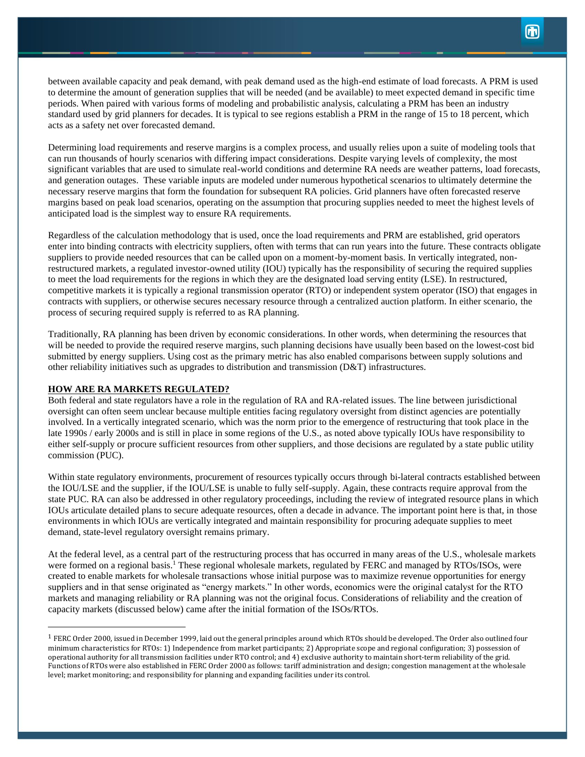between available capacity and peak demand, with peak demand used as the high-end estimate of load forecasts. A PRM is used to determine the amount of generation supplies that will be needed (and be available) to meet expected demand in specific time periods. When paired with various forms of modeling and probabilistic analysis, calculating a PRM has been an industry standard used by grid planners for decades. It is typical to see regions establish a PRM in the range of 15 to 18 percent, which acts as a safety net over forecasted demand.

Determining load requirements and reserve margins is a complex process, and usually relies upon a suite of modeling tools that can run thousands of hourly scenarios with differing impact considerations. Despite varying levels of complexity, the most significant variables that are used to simulate real-world conditions and determine RA needs are weather patterns, load forecasts, and generation outages. These variable inputs are modeled under numerous hypothetical scenarios to ultimately determine the necessary reserve margins that form the foundation for subsequent RA policies. Grid planners have often forecasted reserve margins based on peak load scenarios, operating on the assumption that procuring supplies needed to meet the highest levels of anticipated load is the simplest way to ensure RA requirements.

Regardless of the calculation methodology that is used, once the load requirements and PRM are established, grid operators enter into binding contracts with electricity suppliers, often with terms that can run years into the future. These contracts obligate suppliers to provide needed resources that can be called upon on a moment-by-moment basis. In vertically integrated, nonrestructured markets, a regulated investor-owned utility (IOU) typically has the responsibility of securing the required supplies to meet the load requirements for the regions in which they are the designated load serving entity (LSE). In restructured, competitive markets it is typically a regional transmission operator (RTO) or independent system operator (ISO) that engages in contracts with suppliers, or otherwise secures necessary resource through a centralized auction platform. In either scenario, the process of securing required supply is referred to as RA planning.

Traditionally, RA planning has been driven by economic considerations. In other words, when determining the resources that will be needed to provide the required reserve margins, such planning decisions have usually been based on the lowest-cost bid submitted by energy suppliers. Using cost as the primary metric has also enabled comparisons between supply solutions and other reliability initiatives such as upgrades to distribution and transmission (D&T) infrastructures.

## **HOW ARE RA MARKETS REGULATED?**

Both federal and state regulators have a role in the regulation of RA and RA-related issues. The line between jurisdictional oversight can often seem unclear because multiple entities facing regulatory oversight from distinct agencies are potentially involved. In a vertically integrated scenario, which was the norm prior to the emergence of restructuring that took place in the late 1990s / early 2000s and is still in place in some regions of the U.S., as noted above typically IOUs have responsibility to either self-supply or procure sufficient resources from other suppliers, and those decisions are regulated by a state public utility commission (PUC).

Within state regulatory environments, procurement of resources typically occurs through bi-lateral contracts established between the IOU/LSE and the supplier, if the IOU/LSE is unable to fully self-supply. Again, these contracts require approval from the state PUC. RA can also be addressed in other regulatory proceedings, including the review of integrated resource plans in which IOUs articulate detailed plans to secure adequate resources, often a decade in advance. The important point here is that, in those environments in which IOUs are vertically integrated and maintain responsibility for procuring adequate supplies to meet demand, state-level regulatory oversight remains primary.

At the federal level, as a central part of the restructuring process that has occurred in many areas of the U.S., wholesale markets were formed on a regional basis.<sup>1</sup> These regional wholesale markets, regulated by FERC and managed by RTOs/ISOs, were created to enable markets for wholesale transactions whose initial purpose was to maximize revenue opportunities for energy suppliers and in that sense originated as "energy markets." In other words, economics were the original catalyst for the RTO markets and managing reliability or RA planning was not the original focus. Considerations of reliability and the creation of capacity markets (discussed below) came after the initial formation of the ISOs/RTOs.

<sup>&</sup>lt;sup>1</sup> FERC Order 2000, issued in December 1999, laid out the general principles around which RTOs should be developed. The Order also outlined four minimum characteristics for RTOs: 1) Independence from market participants; 2) Appropriate scope and regional configuration; 3) possession of operational authority for all transmission facilities under RTO control; and 4) exclusive authority to maintain short-term reliability of the grid. Functions of RTOs were also established in FERC Order 2000 as follows: tariff administration and design; congestion management at the wholesale level; market monitoring; and responsibility for planning and expanding facilities under its control.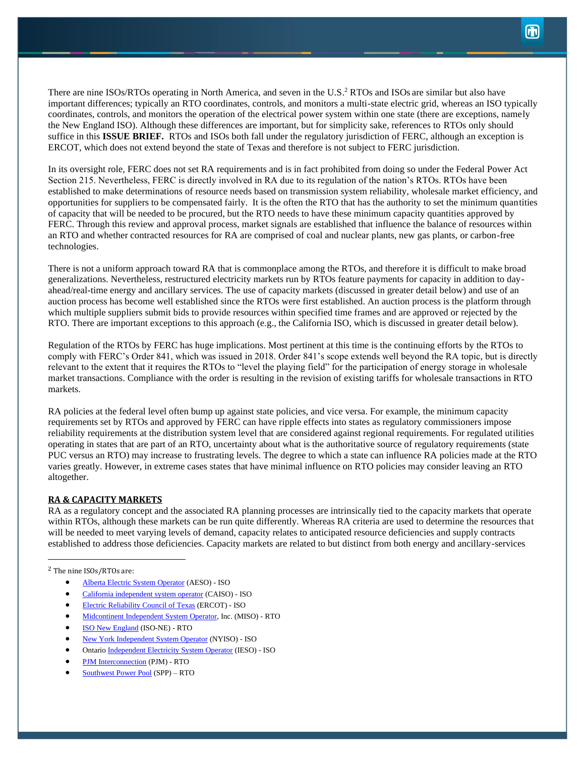There are nine ISOs/RTOs operating in North America, and seven in the U.S.<sup>2</sup> RTOs and ISOs are similar but also have important differences; typically an RTO coordinates, controls, and monitors a multi-state electric grid, whereas an ISO typically coordinates, controls, and monitors the operation of the electrical power system within one state (there are exceptions, namely the New England ISO). Although these differences are important, but for simplicity sake, references to RTOs only should suffice in this **ISSUE BRIEF.** RTOs and ISOs both fall under the regulatory jurisdiction of FERC, although an exception is ERCOT, which does not extend beyond the state of Texas and therefore is not subject to FERC jurisdiction.

In its oversight role, FERC does not set RA requirements and is in fact prohibited from doing so under the Federal Power Act Section 215. Nevertheless, FERC is directly involved in RA due to its regulation of the nation's RTOs. RTOs have been established to make determinations of resource needs based on transmission system reliability, wholesale market efficiency, and opportunities for suppliers to be compensated fairly. It is the often the RTO that has the authority to set the minimum quantities of capacity that will be needed to be procured, but the RTO needs to have these minimum capacity quantities approved by FERC. Through this review and approval process, market signals are established that influence the balance of resources within an RTO and whether contracted resources for RA are comprised of coal and nuclear plants, new gas plants, or carbon-free technologies.

There is not a uniform approach toward RA that is commonplace among the RTOs, and therefore it is difficult to make broad generalizations. Nevertheless, restructured electricity markets run by RTOs feature payments for capacity in addition to dayahead/real-time energy and ancillary services. The use of capacity markets (discussed in greater detail below) and use of an auction process has become well established since the RTOs were first established. An auction process is the platform through which multiple suppliers submit bids to provide resources within specified time frames and are approved or rejected by the RTO. There are important exceptions to this approach (e.g., the California ISO, which is discussed in greater detail below).

Regulation of the RTOs by FERC has huge implications. Most pertinent at this time is the continuing efforts by the RTOs to comply with FERC's Order 841, which was issued in 2018. Order 841's scope extends well beyond the RA topic, but is directly relevant to the extent that it requires the RTOs to "level the playing field" for the participation of energy storage in wholesale market transactions. Compliance with the order is resulting in the revision of existing tariffs for wholesale transactions in RTO markets.

RA policies at the federal level often bump up against state policies, and vice versa. For example, the minimum capacity requirements set by RTOs and approved by FERC can have ripple effects into states as regulatory commissioners impose reliability requirements at the distribution system level that are considered against regional requirements. For regulated utilities operating in states that are part of an RTO, uncertainty about what is the authoritative source of regulatory requirements (state PUC versus an RTO) may increase to frustrating levels. The degree to which a state can influence RA policies made at the RTO varies greatly. However, in extreme cases states that have minimal influence on RTO policies may consider leaving an RTO altogether.

## **RA & CAPACITY MARKETS**

RA as a regulatory concept and the associated RA planning processes are intrinsically tied to the capacity markets that operate within RTOs, although these markets can be run quite differently. Whereas RA criteria are used to determine the resources that will be needed to meet varying levels of demand, capacity relates to anticipated resource deficiencies and supply contracts established to address those deficiencies. Capacity markets are related to but distinct from both energy and ancillary-services

#### <sup>2</sup> The nine ISOs/RTOs are:

- [Alberta Electric System Operator](https://en.wikipedia.org/wiki/Alberta_Electric_System_Operator) (AESO) ISO
- [California independent system operator](https://en.wikipedia.org/wiki/California_independent_system_operator) (CAISO) ISO
- [Electric Reliability Council of Texas](https://en.wikipedia.org/wiki/Electric_Reliability_Council_of_Texas) (ERCOT) ISO
- [Midcontinent Independent System Operator,](https://en.wikipedia.org/wiki/Midcontinent_Independent_System_Operator) Inc. (MISO) RTO
- [ISO New England](https://en.wikipedia.org/wiki/ISO_New_England) (ISO-NE) RTO
- [New York Independent System Operator](https://en.wikipedia.org/wiki/NYISO) (NYISO) ISO
- Ontario [Independent Electricity System Operator](https://en.wikipedia.org/wiki/Independent_Electricity_System_Operator) (IESO) ISO
- [PJM Interconnection](https://en.wikipedia.org/wiki/PJM_Interconnection) (PJM) RTO
- [Southwest Power Pool](https://en.wikipedia.org/wiki/Southwest_Power_Pool) (SPP) RTO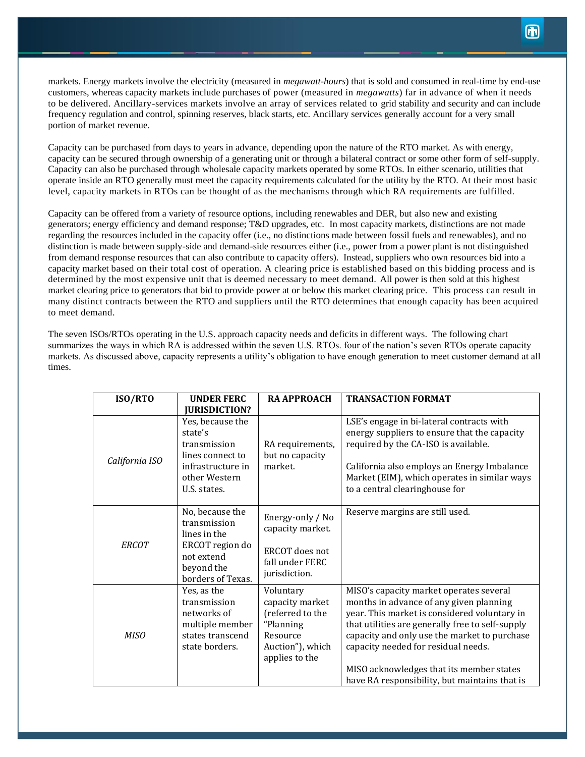markets. Energy markets involve the electricity (measured in *megawatt-hours*) that is sold and consumed in real-time by end-use customers, whereas capacity markets include purchases of power (measured in *megawatts*) far in advance of when it needs to be delivered. Ancillary-services markets involve an array of services related to grid stability and security and can include frequency regulation and control, spinning reserves, black starts, etc. Ancillary services generally account for a very small portion of market revenue.

Capacity can be purchased from days to years in advance, depending upon the nature of the RTO market. As with energy, capacity can be secured through ownership of a generating unit or through a bilateral contract or some other form of self-supply. Capacity can also be purchased through wholesale capacity markets operated by some RTOs. In either scenario, utilities that operate inside an RTO generally must meet the capacity requirements calculated for the utility by the RTO. At their most basic level, capacity markets in RTOs can be thought of as the mechanisms through which RA requirements are fulfilled.

Capacity can be offered from a variety of resource options, including renewables and DER, but also new and existing generators; energy efficiency and demand response; T&D upgrades, etc. In most capacity markets, distinctions are not made regarding the resources included in the capacity offer (i.e., no distinctions made between fossil fuels and renewables), and no distinction is made between supply-side and demand-side resources either (i.e., power from a power plant is not distinguished from demand response resources that can also contribute to capacity offers). Instead, suppliers who own resources bid into a capacity market based on their total cost of operation. A clearing price is established based on this bidding process and is determined by the most expensive unit that is deemed necessary to meet demand. All power is then sold at this highest market clearing price to generators that bid to provide power at or below this market clearing price. This process can result in many distinct contracts between the RTO and suppliers until the RTO determines that enough capacity has been acquired to meet demand.

The seven ISOs/RTOs operating in the U.S. approach capacity needs and deficits in different ways. The following chart summarizes the ways in which RA is addressed within the seven U.S. RTOs. four of the nation's seven RTOs operate capacity markets. As discussed above, capacity represents a utility's obligation to have enough generation to meet customer demand at all times.

| ISO/RTO        | <b>UNDER FERC</b>                                                                                                     | <b>RA APPROACH</b>                                                                                              | <b>TRANSACTION FORMAT</b>                                                                                                                                                                                                                                                                                                                                                  |
|----------------|-----------------------------------------------------------------------------------------------------------------------|-----------------------------------------------------------------------------------------------------------------|----------------------------------------------------------------------------------------------------------------------------------------------------------------------------------------------------------------------------------------------------------------------------------------------------------------------------------------------------------------------------|
|                | <b>JURISDICTION?</b>                                                                                                  |                                                                                                                 |                                                                                                                                                                                                                                                                                                                                                                            |
| California ISO | Yes, because the<br>state's<br>transmission<br>lines connect to<br>infrastructure in<br>other Western<br>U.S. states. | RA requirements,<br>but no capacity<br>market.                                                                  | LSE's engage in bi-lateral contracts with<br>energy suppliers to ensure that the capacity<br>required by the CA-ISO is available.<br>California also employs an Energy Imbalance<br>Market (EIM), which operates in similar ways<br>to a central clearinghouse for                                                                                                         |
| ERCOT          | No, because the<br>transmission<br>lines in the<br>ERCOT region do<br>not extend<br>beyond the<br>borders of Texas.   | Energy-only / No<br>capacity market.<br><b>ERCOT</b> does not<br>fall under FERC<br>jurisdiction.               | Reserve margins are still used.                                                                                                                                                                                                                                                                                                                                            |
| <b>MISO</b>    | Yes, as the<br>transmission<br>networks of<br>multiple member<br>states transcend<br>state borders.                   | Voluntary<br>capacity market<br>(referred to the<br>"Planning<br>Resource<br>Auction"), which<br>applies to the | MISO's capacity market operates several<br>months in advance of any given planning<br>year. This market is considered voluntary in<br>that utilities are generally free to self-supply<br>capacity and only use the market to purchase<br>capacity needed for residual needs.<br>MISO acknowledges that its member states<br>have RA responsibility, but maintains that is |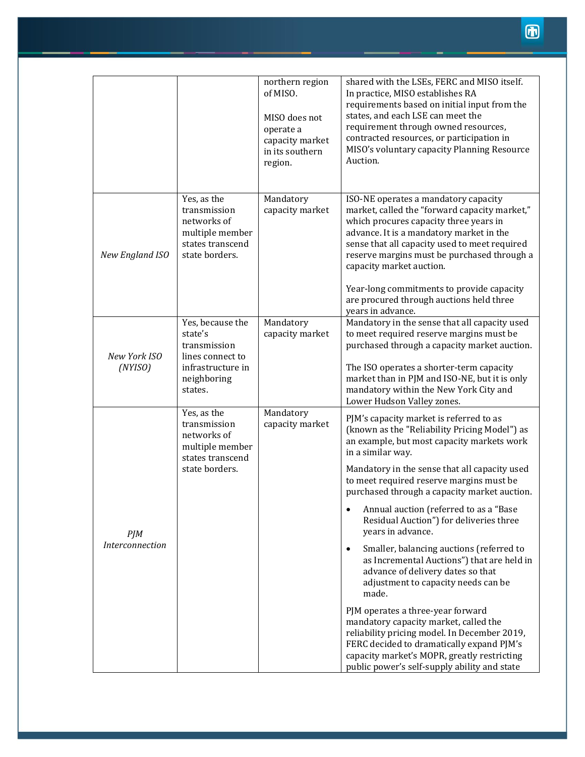|                                  |                                                                                                                | northern region<br>of MISO.<br>MISO does not<br>operate a<br>capacity market<br>in its southern<br>region. | shared with the LSEs, FERC and MISO itself.<br>In practice, MISO establishes RA<br>requirements based on initial input from the<br>states, and each LSE can meet the<br>requirement through owned resources,<br>contracted resources, or participation in<br>MISO's voluntary capacity Planning Resource<br>Auction.                                                                                                                                                                                                                                                                                                                                                                                                                                                                                                                                                                                  |
|----------------------------------|----------------------------------------------------------------------------------------------------------------|------------------------------------------------------------------------------------------------------------|-------------------------------------------------------------------------------------------------------------------------------------------------------------------------------------------------------------------------------------------------------------------------------------------------------------------------------------------------------------------------------------------------------------------------------------------------------------------------------------------------------------------------------------------------------------------------------------------------------------------------------------------------------------------------------------------------------------------------------------------------------------------------------------------------------------------------------------------------------------------------------------------------------|
| New England ISO                  | Yes, as the<br>transmission<br>networks of<br>multiple member<br>states transcend<br>state borders.            | Mandatory<br>capacity market                                                                               | ISO-NE operates a mandatory capacity<br>market, called the "forward capacity market,"<br>which procures capacity three years in<br>advance. It is a mandatory market in the<br>sense that all capacity used to meet required<br>reserve margins must be purchased through a<br>capacity market auction.<br>Year-long commitments to provide capacity<br>are procured through auctions held three<br>years in advance.                                                                                                                                                                                                                                                                                                                                                                                                                                                                                 |
| New York ISO<br>(NYISO)          | Yes, because the<br>state's<br>transmission<br>lines connect to<br>infrastructure in<br>neighboring<br>states. | Mandatory<br>capacity market                                                                               | Mandatory in the sense that all capacity used<br>to meet required reserve margins must be<br>purchased through a capacity market auction.<br>The ISO operates a shorter-term capacity<br>market than in PJM and ISO-NE, but it is only<br>mandatory within the New York City and<br>Lower Hudson Valley zones.                                                                                                                                                                                                                                                                                                                                                                                                                                                                                                                                                                                        |
| $P$ <i>JM</i><br>Interconnection | Yes, as the<br>transmission<br>networks of<br>multiple member<br>states transcend<br>state borders.            | Mandatory<br>capacity market                                                                               | PJM's capacity market is referred to as<br>(known as the "Reliability Pricing Model") as<br>an example, but most capacity markets work<br>in a similar way.<br>Mandatory in the sense that all capacity used<br>to meet required reserve margins must be<br>purchased through a capacity market auction.<br>Annual auction (referred to as a "Base<br>$\bullet$<br>Residual Auction") for deliveries three<br>years in advance.<br>Smaller, balancing auctions (referred to<br>$\bullet$<br>as Incremental Auctions") that are held in<br>advance of delivery dates so that<br>adjustment to capacity needs can be<br>made.<br>PJM operates a three-year forward<br>mandatory capacity market, called the<br>reliability pricing model. In December 2019,<br>FERC decided to dramatically expand PJM's<br>capacity market's MOPR, greatly restricting<br>public power's self-supply ability and state |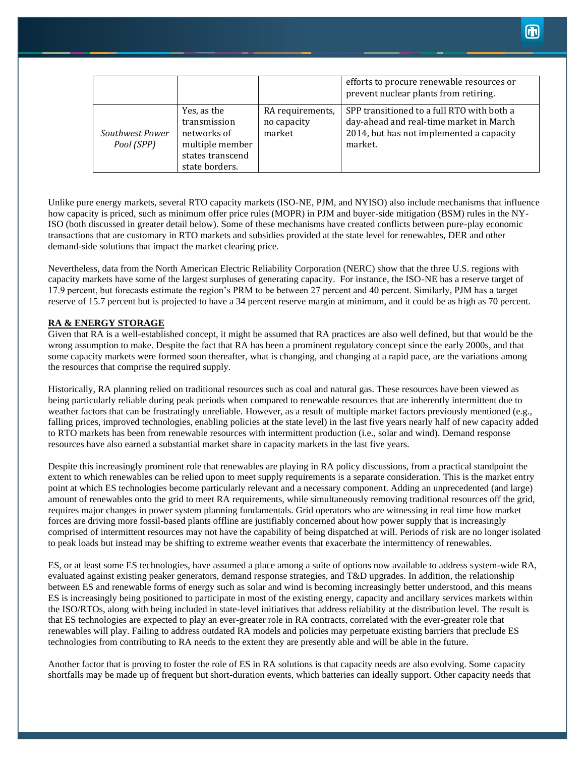|                               |                                                                                                     |                                           | efforts to procure renewable resources or<br>prevent nuclear plants from retiring.                                                           |
|-------------------------------|-----------------------------------------------------------------------------------------------------|-------------------------------------------|----------------------------------------------------------------------------------------------------------------------------------------------|
| Southwest Power<br>Pool (SPP) | Yes, as the<br>transmission<br>networks of<br>multiple member<br>states transcend<br>state borders. | RA requirements,<br>no capacity<br>market | SPP transitioned to a full RTO with both a<br>day-ahead and real-time market in March<br>2014, but has not implemented a capacity<br>market. |

Unlike pure energy markets, several RTO capacity markets (ISO-NE, PJM, and NYISO) also include mechanisms that influence how capacity is priced, such as minimum offer price rules (MOPR) in PJM and buyer-side mitigation (BSM) rules in the NY-ISO (both discussed in greater detail below). Some of these mechanisms have created conflicts between pure-play economic transactions that are customary in RTO markets and subsidies provided at the state level for renewables, DER and other demand-side solutions that impact the market clearing price.

Nevertheless, data from the North American Electric Reliability Corporation (NERC) show that the three U.S. regions with capacity markets have some of the largest surpluses of generating capacity. For instance, the ISO-NE has a reserve target of 17.9 percent, but forecasts estimate the region's PRM to be between 27 percent and 40 percent. Similarly, PJM has a target reserve of 15.7 percent but is projected to have a 34 percent reserve margin at minimum, and it could be as high as 70 percent.

## **RA & ENERGY STORAGE**

Given that RA is a well-established concept, it might be assumed that RA practices are also well defined, but that would be the wrong assumption to make. Despite the fact that RA has been a prominent regulatory concept since the early 2000s, and that some capacity markets were formed soon thereafter, what is changing, and changing at a rapid pace, are the variations among the resources that comprise the required supply.

Historically, RA planning relied on traditional resources such as coal and natural gas. These resources have been viewed as being particularly reliable during peak periods when compared to renewable resources that are inherently intermittent due to weather factors that can be frustratingly unreliable. However, as a result of multiple market factors previously mentioned (e.g., falling prices, improved technologies, enabling policies at the state level) in the last five years nearly half of new capacity added to RTO markets has been from renewable resources with intermittent production (i.e., solar and wind). Demand response resources have also earned a substantial market share in capacity markets in the last five years.

Despite this increasingly prominent role that renewables are playing in RA policy discussions, from a practical standpoint the extent to which renewables can be relied upon to meet supply requirements is a separate consideration. This is the market entry point at which ES technologies become particularly relevant and a necessary component. Adding an unprecedented (and large) amount of renewables onto the grid to meet RA requirements, while simultaneously removing traditional resources off the grid, requires major changes in power system planning fundamentals. Grid operators who are witnessing in real time how market forces are driving more fossil-based plants offline are justifiably concerned about how power supply that is increasingly comprised of intermittent resources may not have the capability of being dispatched at will. Periods of risk are no longer isolated to peak loads but instead may be shifting to extreme weather events that exacerbate the intermittency of renewables.

ES, or at least some ES technologies, have assumed a place among a suite of options now available to address system-wide RA, evaluated against existing peaker generators, demand response strategies, and T&D upgrades. In addition, the relationship between ES and renewable forms of energy such as solar and wind is becoming increasingly better understood, and this means ES is increasingly being positioned to participate in most of the existing energy, capacity and ancillary services markets within the ISO/RTOs, along with being included in state-level initiatives that address reliability at the distribution level. The result is that ES technologies are expected to play an ever-greater role in RA contracts, correlated with the ever-greater role that renewables will play. Failing to address outdated RA models and policies may perpetuate existing barriers that preclude ES technologies from contributing to RA needs to the extent they are presently able and will be able in the future.

Another factor that is proving to foster the role of ES in RA solutions is that capacity needs are also evolving. Some capacity shortfalls may be made up of frequent but short-duration events, which batteries can ideally support. Other capacity needs that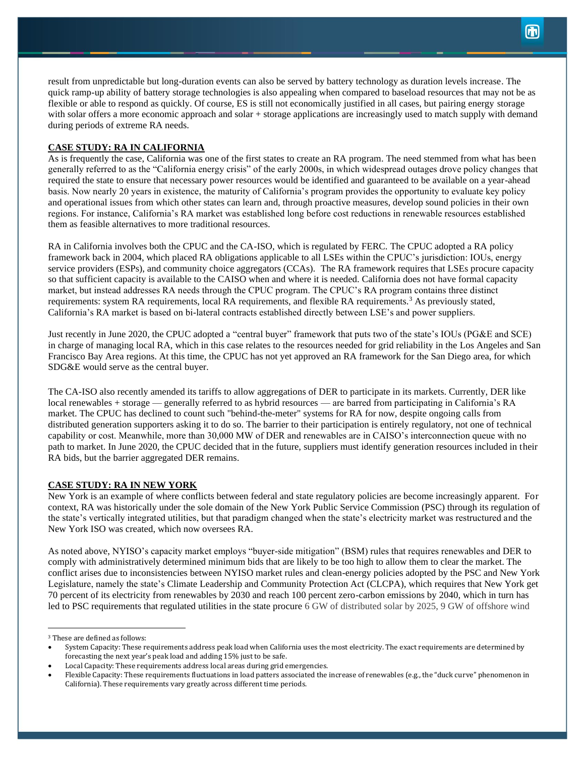result from unpredictable but long-duration events can also be served by battery technology as duration levels increase. The quick ramp-up ability of battery storage technologies is also appealing when compared to baseload resources that may not be as flexible or able to respond as quickly. Of course, ES is still not economically justified in all cases, but pairing energy storage with solar offers a more economic approach and solar + storage applications are increasingly used to match supply with demand during periods of extreme RA needs.

#### **CASE STUDY: RA IN CALIFORNIA**

As is frequently the case, California was one of the first states to create an RA program. The need stemmed from what has been generally referred to as the "California energy crisis" of the early 2000s, in which widespread outages drove policy changes that required the state to ensure that necessary power resources would be identified and guaranteed to be available on a year-ahead basis. Now nearly 20 years in existence, the maturity of California's program provides the opportunity to evaluate key policy and operational issues from which other states can learn and, through proactive measures, develop sound policies in their own regions. For instance, California's RA market was established long before cost reductions in renewable resources established them as feasible alternatives to more traditional resources.

RA in California involves both the CPUC and the CA-ISO, which is regulated by FERC. The CPUC adopted a RA policy framework back in 2004, which placed RA obligations applicable to all LSEs within the CPUC's jurisdiction: IOUs, energy service providers (ESPs), and community choice aggregators (CCAs). The RA framework requires that LSEs procure capacity so that sufficient capacity is available to the CAISO when and where it is needed. California does not have formal capacity market, but instead addresses RA needs through the CPUC program. The CPUC's RA program contains three distinct requirements: system RA requirements, local RA requirements, and flexible RA requirements.<sup>3</sup> As previously stated, California's RA market is based on bi-lateral contracts established directly between LSE's and power suppliers.

Just recently in June 2020, the CPUC adopted a "central buyer" framework that puts two of the state's IOUs (PG&E and SCE) in charge of managing local RA, which in this case relates to the resources needed for grid reliability in the Los Angeles and San Francisco Bay Area regions. At this time, the CPUC has not yet approved an RA framework for the San Diego area, for which SDG&E would serve as the central buyer.

The CA-ISO also recently amended its tariffs to allow aggregations of DER to participate in its markets. Currently, DER like local renewables + storage — generally referred to as hybrid resources — are barred from participating in California's RA market. The CPUC has declined to count such "behind-the-meter" systems for RA for now, despite ongoing calls from distributed generation supporters asking it to do so. The barrier to their participation is entirely regulatory, not one of technical capability or cost. Meanwhile, more than 30,000 MW of DER and renewables are in CAISO's interconnection queue with no path to market. In June 2020, the CPUC decided that in the future, suppliers must identify generation resources included in their RA bids, but the barrier aggregated DER remains.

## **CASE STUDY: RA IN NEW YORK**

New York is an example of where conflicts between federal and state regulatory policies are become increasingly apparent. For context, RA was historically under the sole domain of the New York Public Service Commission (PSC) through its regulation of the state's vertically integrated utilities, but that paradigm changed when the state's electricity market was restructured and the New York ISO was created, which now oversees RA.

As noted above, NYISO's capacity market employs "buyer-side mitigation" (BSM) rules that requires renewables and DER to comply with administratively determined minimum bids that are likely to be too high to allow them to clear the market. The conflict arises due to inconsistencies between NYISO market rules and clean-energy policies adopted by the PSC and New York Legislature, namely the state's Climate Leadership and Community Protection Act (CLCPA), which requires that New York get 70 percent of its electricity from renewables by 2030 and reach 100 percent zero-carbon emissions by 2040, which in turn has led to PSC requirements that regulated utilities in the state procure 6 GW of distributed solar by 2025, 9 GW of offshore wind

<sup>3</sup> These are defined as follows:

<sup>•</sup> System Capacity: These requirements address peak load when California uses the most electricity. The exact requirements are determined by forecasting the next year's peak load and adding 15% just to be safe.

<sup>•</sup> Local Capacity: These requirements address local areas during grid emergencies.

<sup>•</sup> Flexible Capacity: These requirements fluctuations in load patters associated the increase of renewables (e.g., the "duck curve" phenomenon in California). These requirements vary greatly across different time periods.